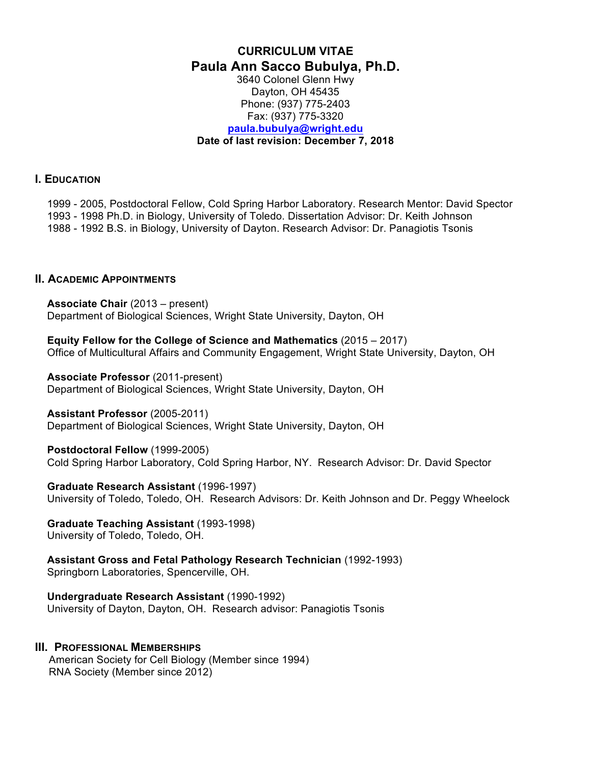### **CURRICULUM VITAE Paula Ann Sacco Bubulya, Ph.D.** 3640 Colonel Glenn Hwy Dayton, OH 45435 Phone: (937) 775-2403 Fax: (937) 775-3320 **paula.bubulya@wright.edu Date of last revision: December 7, 2018**

#### **I. EDUCATION**

1999 - 2005, Postdoctoral Fellow, Cold Spring Harbor Laboratory. Research Mentor: David Spector 1993 - 1998 Ph.D. in Biology, University of Toledo. Dissertation Advisor: Dr. Keith Johnson 1988 - 1992 B.S. in Biology, University of Dayton. Research Advisor: Dr. Panagiotis Tsonis

#### **II. ACADEMIC APPOINTMENTS**

**Associate Chair** (2013 – present) Department of Biological Sciences, Wright State University, Dayton, OH

**Equity Fellow for the College of Science and Mathematics** (2015 – 2017) Office of Multicultural Affairs and Community Engagement, Wright State University, Dayton, OH

**Associate Professor** (2011-present) Department of Biological Sciences, Wright State University, Dayton, OH

#### **Assistant Professor** (2005-2011)

Department of Biological Sciences, Wright State University, Dayton, OH

#### **Postdoctoral Fellow** (1999-2005)

Cold Spring Harbor Laboratory, Cold Spring Harbor, NY. Research Advisor: Dr. David Spector

#### **Graduate Research Assistant** (1996-1997)

University of Toledo, Toledo, OH. Research Advisors: Dr. Keith Johnson and Dr. Peggy Wheelock

#### **Graduate Teaching Assistant** (1993-1998) University of Toledo, Toledo, OH.

**Assistant Gross and Fetal Pathology Research Technician** (1992-1993) Springborn Laboratories, Spencerville, OH.

**Undergraduate Research Assistant** (1990-1992) University of Dayton, Dayton, OH. Research advisor: Panagiotis Tsonis

### **III. PROFESSIONAL MEMBERSHIPS**

American Society for Cell Biology (Member since 1994) RNA Society (Member since 2012)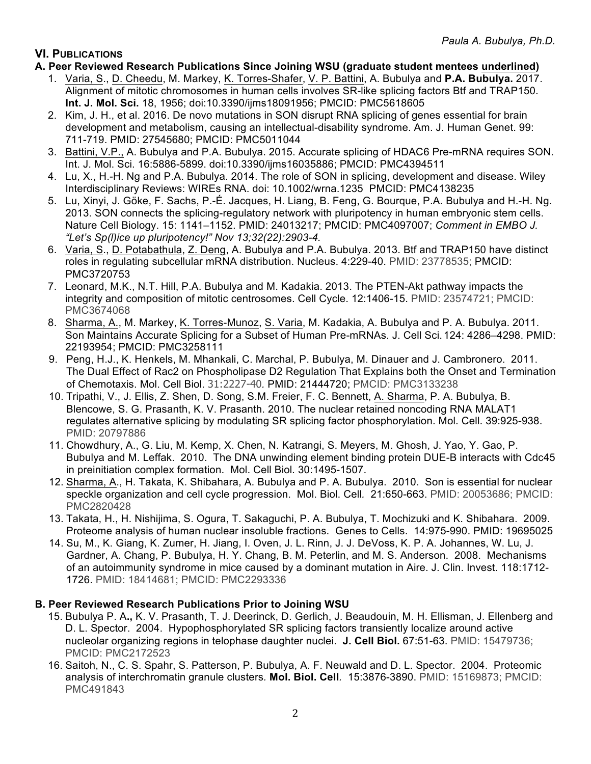# **VI. PUBLICATIONS**

- **A. Peer Reviewed Research Publications Since Joining WSU (graduate student mentees underlined)** 
	- 1. Varia, S., D. Cheedu, M. Markey, K. Torres-Shafer, V. P. Battini, A. Bubulya and **P.A. Bubulya.** 2017. Alignment of mitotic chromosomes in human cells involves SR-like splicing factors Btf and TRAP150. **Int. J. Mol. Sci.** 18, 1956; doi:10.3390/ijms18091956; PMCID: PMC5618605
	- 2. Kim, J. H., et al. 2016. De novo mutations in SON disrupt RNA splicing of genes essential for brain development and metabolism, causing an intellectual-disability syndrome. Am. J. Human Genet. 99: 711-719. PMID: 27545680; PMCID: PMC5011044
	- 3. Battini, V.P., A. Bubulya and P.A. Bubulya. 2015. Accurate splicing of HDAC6 Pre-mRNA requires SON. Int. J. Mol. Sci. 16:5886-5899. doi:10.3390/ijms16035886; PMCID: PMC4394511
	- 4. Lu, X., H.-H. Ng and P.A. Bubulya. 2014. The role of SON in splicing, development and disease. Wiley Interdisciplinary Reviews: WIREs RNA. doi: 10.1002/wrna.1235 PMCID: PMC4138235
	- 5. Lu, Xinyi, J. Göke, F. Sachs, P.-É. Jacques, H. Liang, B. Feng, G. Bourque, P.A. Bubulya and H.-H. Ng. 2013. SON connects the splicing-regulatory network with pluripotency in human embryonic stem cells. Nature Cell Biology. 15: 1141–1152. PMID: 24013217; PMCID: PMC4097007; *Comment in EMBO J. "Let's Sp(l)ice up pluripotency!" Nov 13;32(22):2903-4.*
	- 6. Varia, S., D. Potabathula, Z. Deng, A. Bubulya and P.A. Bubulya. 2013. Btf and TRAP150 have distinct roles in regulating subcellular mRNA distribution. Nucleus. 4:229-40. PMID: 23778535; PMCID: PMC3720753
	- 7. Leonard, M.K., N.T. Hill, P.A. Bubulya and M. Kadakia. 2013. The PTEN-Akt pathway impacts the integrity and composition of mitotic centrosomes. Cell Cycle. 12:1406-15. PMID: 23574721; PMCID: PMC3674068
	- 8. Sharma, A., M. Markey, K. Torres-Munoz, S. Varia, M. Kadakia, A. Bubulya and P. A. Bubulya. 2011. Son Maintains Accurate Splicing for a Subset of Human Pre-mRNAs. J. Cell Sci. 124: 4286–4298. PMID: 22193954; PMCID: PMC3258111
	- 9. Peng, H.J., K. Henkels, M. Mhankali, C. Marchal, P. Bubulya, M. Dinauer and J. Cambronero. 2011. The Dual Effect of Rac2 on Phospholipase D2 Regulation That Explains both the Onset and Termination of Chemotaxis. Mol. Cell Biol. 31:2227-40*.* PMID: 21444720; PMCID: PMC3133238
	- 10. Tripathi, V., J. Ellis, Z. Shen, D. Song, S.M. Freier, F. C. Bennett, A. Sharma, P. A. Bubulya, B. Blencowe, S. G. Prasanth, K. V. Prasanth. 2010. The nuclear retained noncoding RNA MALAT1 regulates alternative splicing by modulating SR splicing factor phosphorylation. Mol. Cell. 39:925-938. PMID: 20797886
	- 11. Chowdhury, A., G. Liu, M. Kemp, X. Chen, N. Katrangi, S. Meyers, M. Ghosh, J. Yao, Y. Gao, P. Bubulya and M. Leffak. 2010. The DNA unwinding element binding protein DUE-B interacts with Cdc45 in preinitiation complex formation. Mol. Cell Biol*.* 30:1495-1507.
	- 12. Sharma, A., H. Takata, K. Shibahara, A. Bubulya and P. A. Bubulya. 2010. Son is essential for nuclear speckle organization and cell cycle progression. Mol. Biol. Cell*.* 21:650-663. PMID: 20053686; PMCID: PMC2820428
	- 13. Takata, H., H. Nishijima, S. Ogura, T. Sakaguchi, P. A. Bubulya, T. Mochizuki and K. Shibahara. 2009. Proteome analysis of human nuclear insoluble fractions. Genes to Cells. 14:975-990. PMID: 19695025
	- 14. Su, M., K. Giang, K. Zumer, H. Jiang, I. Oven, J. L. Rinn, J. J. DeVoss, K. P. A. Johannes, W. Lu, J. Gardner, A. Chang, P. Bubulya, H. Y. Chang, B. M. Peterlin, and M. S. Anderson. 2008. Mechanisms of an autoimmunity syndrome in mice caused by a dominant mutation in Aire. J. Clin. Invest. 118:1712- 1726. PMID: 18414681; PMCID: PMC2293336

## **B. Peer Reviewed Research Publications Prior to Joining WSU**

- 15. Bubulya P. A**.,** K. V. Prasanth, T. J. Deerinck, D. Gerlich, J. Beaudouin, M. H. Ellisman, J. Ellenberg and D. L. Spector. 2004. Hypophosphorylated SR splicing factors transiently localize around active nucleolar organizing regions in telophase daughter nuclei. **J. Cell Biol.** 67:51-63. PMID: 15479736; PMCID: PMC2172523
- 16. Saitoh, N., C. S. Spahr, S. Patterson, P. Bubulya, A. F. Neuwald and D. L. Spector. 2004. Proteomic analysis of interchromatin granule clusters*.* **Mol. Biol. Cell***.* 15:3876-3890. PMID: 15169873; PMCID: PMC491843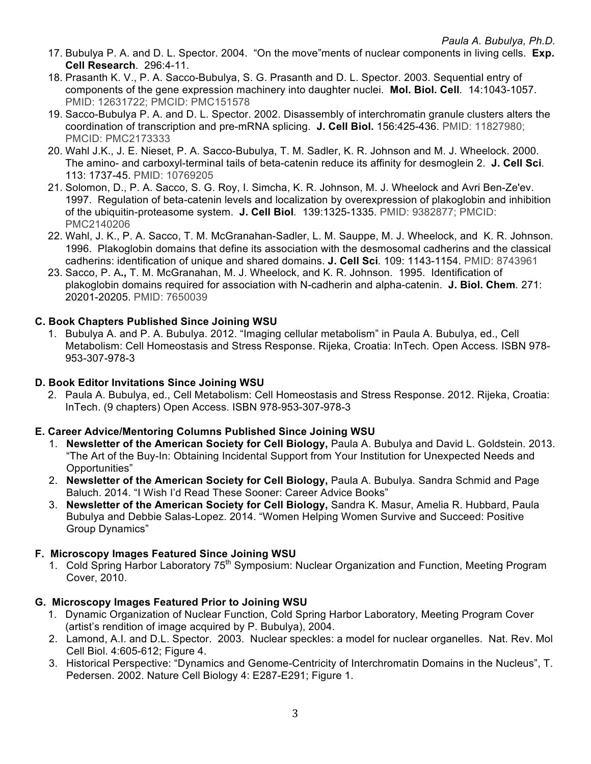- 17. Bubulya P. A. and D. L. Spector. 2004. "On the move"ments of nuclear components in living cells. **Exp. Cell Research***.* 296:4-11.
- 18. Prasanth K. V., P. A. Sacco-Bubulya, S. G. Prasanth and D. L. Spector. 2003. Sequential entry of components of the gene expression machinery into daughter nuclei. **Mol. Biol. Cell***.* 14:1043-1057. PMID: 12631722; PMCID: PMC151578
- 19. Sacco-Bubulya P. A. and D. L. Spector. 2002. Disassembly of interchromatin granule clusters alters the coordination of transcription and pre-mRNA splicing. **J. Cell Biol.** 156:425-436. PMID: 11827980; PMCID: PMC2173333
- 20. Wahl J.K., J. E. Nieset, P. A. Sacco-Bubulya, T. M. Sadler, K. R. Johnson and M. J. Wheelock. 2000. The amino- and carboxyl-terminal tails of beta-catenin reduce its affinity for desmoglein 2. **J. Cell Sci***.*  113: 1737-45. PMID: 10769205
- 21. Solomon, D., P. A. Sacco, S. G. Roy, I. Simcha, K. R. Johnson, M. J. Wheelock and Avri Ben-Ze'ev. 1997. Regulation of beta-catenin levels and localization by overexpression of plakoglobin and inhibition of the ubiquitin-proteasome system. **J. Cell Biol***.* 139:1325-1335. PMID: 9382877; PMCID: PMC2140206
- 22. Wahl, J. K., P. A. Sacco, T. M. McGranahan-Sadler, L. M. Sauppe, M. J. Wheelock, and K. R. Johnson. 1996. Plakoglobin domains that define its association with the desmosomal cadherins and the classical cadherins: identification of unique and shared domains. **J. Cell Sci***.* 109: 1143-1154. PMID: 8743961
- 23. Sacco, P. A**.,** T. M. McGranahan, M. J. Wheelock, and K. R. Johnson. 1995. Identification of plakoglobin domains required for association with N-cadherin and alpha-catenin. **J. Biol. Chem***.* 271: 20201-20205. PMID: 7650039

# **C. Book Chapters Published Since Joining WSU**

1. Bubulya A. and P. A. Bubulya. 2012. "Imaging cellular metabolism" in Paula A. Bubulya, ed., Cell Metabolism: Cell Homeostasis and Stress Response. Rijeka, Croatia: InTech. Open Access. ISBN 978- 953-307-978-3

## **D. Book Editor Invitations Since Joining WSU**

2. Paula A. Bubulya, ed., Cell Metabolism: Cell Homeostasis and Stress Response. 2012. Rijeka, Croatia: InTech. (9 chapters) Open Access. ISBN 978-953-307-978-3

## **E. Career Advice/Mentoring Columns Published Since Joining WSU**

- 1. **Newsletter of the American Society for Cell Biology,** Paula A. Bubulya and David L. Goldstein. 2013. "The Art of the Buy-In: Obtaining Incidental Support from Your Institution for Unexpected Needs and Opportunities"
- 2. **Newsletter of the American Society for Cell Biology,** Paula A. Bubulya. Sandra Schmid and Page Baluch. 2014. "I Wish I'd Read These Sooner: Career Advice Books"
- 3. **Newsletter of the American Society for Cell Biology,** Sandra K. Masur, Amelia R. Hubbard, Paula Bubulya and Debbie Salas-Lopez. 2014. "Women Helping Women Survive and Succeed: Positive Group Dynamics"

### **F. Microscopy Images Featured Since Joining WSU**

1. Cold Spring Harbor Laboratory 75<sup>th</sup> Symposium: Nuclear Organization and Function, Meeting Program Cover, 2010.

## **G. Microscopy Images Featured Prior to Joining WSU**

- 1. Dynamic Organization of Nuclear Function, Cold Spring Harbor Laboratory, Meeting Program Cover (artist's rendition of image acquired by P. Bubulya), 2004.
- 2. Lamond, A.I. and D.L. Spector. 2003. Nuclear speckles: a model for nuclear organelles. Nat. Rev. Mol Cell Biol. 4:605-612; Figure 4.
- 3. Historical Perspective: "Dynamics and Genome-Centricity of Interchromatin Domains in the Nucleus", T. Pedersen. 2002. Nature Cell Biology 4: E287-E291; Figure 1.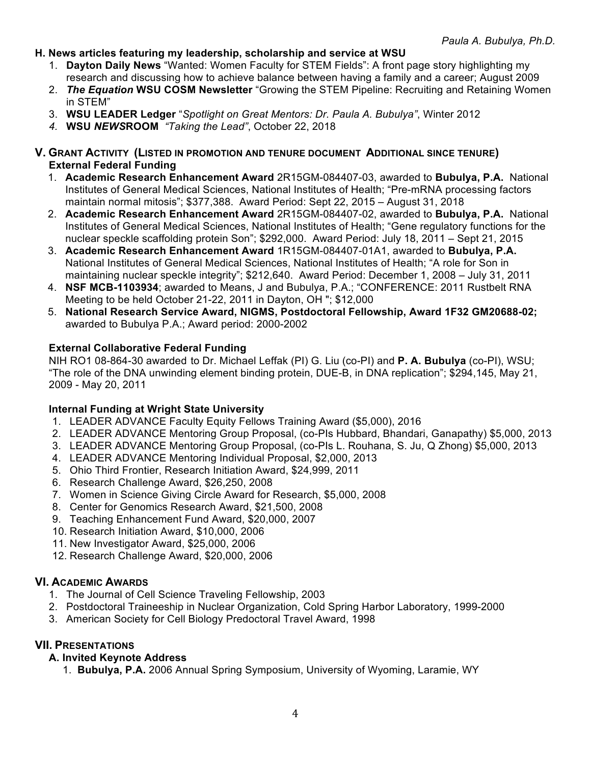- **H. News articles featuring my leadership, scholarship and service at WSU**
	- 1. **Dayton Daily News** "Wanted: Women Faculty for STEM Fields": A front page story highlighting my research and discussing how to achieve balance between having a family and a career; August 2009
	- 2. *The Equation* **WSU COSM Newsletter** "Growing the STEM Pipeline: Recruiting and Retaining Women in STEM"
	- 3. **WSU LEADER Ledger** "*Spotlight on Great Mentors: Dr. Paula A. Bubulya"*, Winter 2012
	- *4.* **WSU** *NEWS***ROOM** *"Taking the Lead"*, October 22, 2018
- **V. GRANT ACTIVITY (LISTED IN PROMOTION AND TENURE DOCUMENT ADDITIONAL SINCE TENURE) External Federal Funding** 
	- 1. **Academic Research Enhancement Award** 2R15GM-084407-03, awarded to **Bubulya, P.A.** National Institutes of General Medical Sciences, National Institutes of Health; "Pre-mRNA processing factors maintain normal mitosis"; \$377,388. Award Period: Sept 22, 2015 – August 31, 2018
	- 2. **Academic Research Enhancement Award** 2R15GM-084407-02, awarded to **Bubulya, P.A.** National Institutes of General Medical Sciences, National Institutes of Health; "Gene regulatory functions for the nuclear speckle scaffolding protein Son"; \$292,000. Award Period: July 18, 2011 – Sept 21, 2015
	- 3. **Academic Research Enhancement Award** 1R15GM-084407-01A1, awarded to **Bubulya, P.A.** National Institutes of General Medical Sciences, National Institutes of Health; "A role for Son in maintaining nuclear speckle integrity"; \$212,640. Award Period: December 1, 2008 – July 31, 2011
	- 4. **NSF MCB-1103934**; awarded to Means, J and Bubulya, P.A.; "CONFERENCE: 2011 Rustbelt RNA Meeting to be held October 21-22, 2011 in Dayton, OH "; \$12,000
	- 5. **National Research Service Award, NIGMS, Postdoctoral Fellowship, Award 1F32 GM20688-02;** awarded to Bubulya P.A.; Award period: 2000-2002

## **External Collaborative Federal Funding**

NIH RO1 08-864-30 awarded to Dr. Michael Leffak (PI) G. Liu (co-PI) and **P. A. Bubulya** (co-PI), WSU; "The role of the DNA unwinding element binding protein, DUE-B, in DNA replication"; \$294,145, May 21, 2009 - May 20, 2011

## **Internal Funding at Wright State University**

- 1. LEADER ADVANCE Faculty Equity Fellows Training Award (\$5,000), 2016
- 2. LEADER ADVANCE Mentoring Group Proposal, (co-PIs Hubbard, Bhandari, Ganapathy) \$5,000, 2013
- 3. LEADER ADVANCE Mentoring Group Proposal, (co-PIs L. Rouhana, S. Ju, Q Zhong) \$5,000, 2013
- 4. LEADER ADVANCE Mentoring Individual Proposal, \$2,000, 2013
- 5. Ohio Third Frontier, Research Initiation Award, \$24,999, 2011
- 6. Research Challenge Award, \$26,250, 2008
- 7. Women in Science Giving Circle Award for Research, \$5,000, 2008
- 8. Center for Genomics Research Award, \$21,500, 2008
- 9. Teaching Enhancement Fund Award, \$20,000, 2007
- 10. Research Initiation Award, \$10,000, 2006
- 11. New Investigator Award, \$25,000, 2006
- 12. Research Challenge Award, \$20,000, 2006

## **VI. ACADEMIC AWARDS**

- 1. The Journal of Cell Science Traveling Fellowship, 2003
- 2. Postdoctoral Traineeship in Nuclear Organization, Cold Spring Harbor Laboratory, 1999-2000
- 3. American Society for Cell Biology Predoctoral Travel Award, 1998

## **VII. PRESENTATIONS**

- **A. Invited Keynote Address**
	- 1. **Bubulya, P.A.** 2006 Annual Spring Symposium, University of Wyoming, Laramie, WY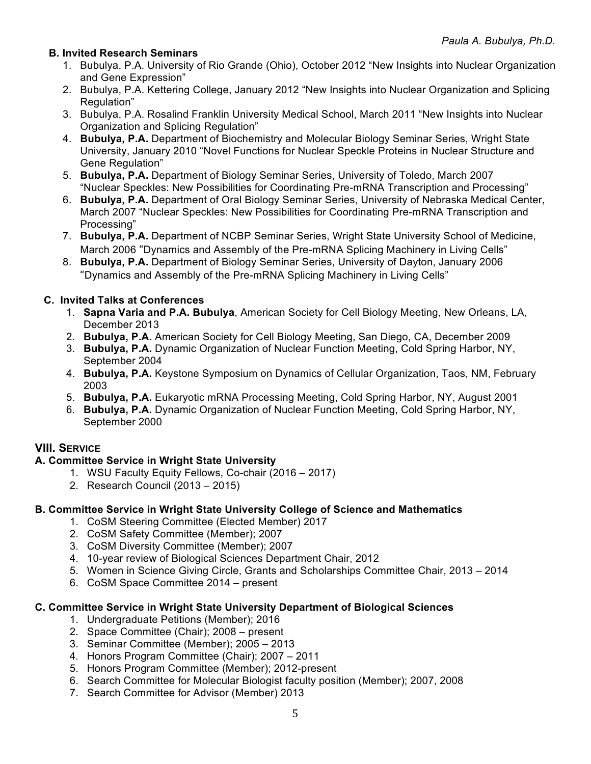## **B. Invited Research Seminars**

- 1. Bubulya, P.A. University of Rio Grande (Ohio), October 2012 "New Insights into Nuclear Organization and Gene Expression"
- 2. Bubulya, P.A. Kettering College, January 2012 "New Insights into Nuclear Organization and Splicing Regulation"
- 3. Bubulya, P.A. Rosalind Franklin University Medical School, March 2011 "New Insights into Nuclear Organization and Splicing Regulation"
- 4. **Bubulya, P.A.** Department of Biochemistry and Molecular Biology Seminar Series, Wright State University, January 2010 "Novel Functions for Nuclear Speckle Proteins in Nuclear Structure and Gene Regulation"
- 5. **Bubulya, P.A.** Department of Biology Seminar Series, University of Toledo, March 2007 "Nuclear Speckles: New Possibilities for Coordinating Pre-mRNA Transcription and Processing"
- 6. **Bubulya, P.A.** Department of Oral Biology Seminar Series, University of Nebraska Medical Center, March 2007 "Nuclear Speckles: New Possibilities for Coordinating Pre-mRNA Transcription and Processing"
- 7. **Bubulya, P.A.** Department of NCBP Seminar Series, Wright State University School of Medicine, March 2006 "Dynamics and Assembly of the Pre-mRNA Splicing Machinery in Living Cells"
- 8. **Bubulya, P.A.** Department of Biology Seminar Series, University of Dayton, January 2006 "Dynamics and Assembly of the Pre-mRNA Splicing Machinery in Living Cells"

## **C. Invited Talks at Conferences**

- 1. **Sapna Varia and P.A. Bubulya**, American Society for Cell Biology Meeting, New Orleans, LA, December 2013
- 2. **Bubulya, P.A.** American Society for Cell Biology Meeting, San Diego, CA, December 2009
- 3. **Bubulya, P.A.** Dynamic Organization of Nuclear Function Meeting, Cold Spring Harbor, NY, September 2004
- 4. **Bubulya, P.A.** Keystone Symposium on Dynamics of Cellular Organization, Taos, NM, February 2003
- 5. **Bubulya, P.A.** Eukaryotic mRNA Processing Meeting, Cold Spring Harbor, NY, August 2001
- 6. **Bubulya, P.A.** Dynamic Organization of Nuclear Function Meeting, Cold Spring Harbor, NY, September 2000

## **VIII. SERVICE**

## **A. Committee Service in Wright State University**

- 1. WSU Faculty Equity Fellows, Co-chair (2016 2017)
- 2. Research Council (2013 2015)

### **B. Committee Service in Wright State University College of Science and Mathematics**

- 1. CoSM Steering Committee (Elected Member) 2017
- 2. CoSM Safety Committee (Member); 2007
- 3. CoSM Diversity Committee (Member); 2007
- 4. 10-year review of Biological Sciences Department Chair, 2012
- 5. Women in Science Giving Circle, Grants and Scholarships Committee Chair, 2013 2014
- 6. CoSM Space Committee 2014 present

### **C. Committee Service in Wright State University Department of Biological Sciences**

- 1. Undergraduate Petitions (Member); 2016
- 2. Space Committee (Chair); 2008 present
- 3. Seminar Committee (Member); 2005 2013
- 4. Honors Program Committee (Chair); 2007 2011
- 5. Honors Program Committee (Member); 2012-present
- 6. Search Committee for Molecular Biologist faculty position (Member); 2007, 2008
- 7. Search Committee for Advisor (Member) 2013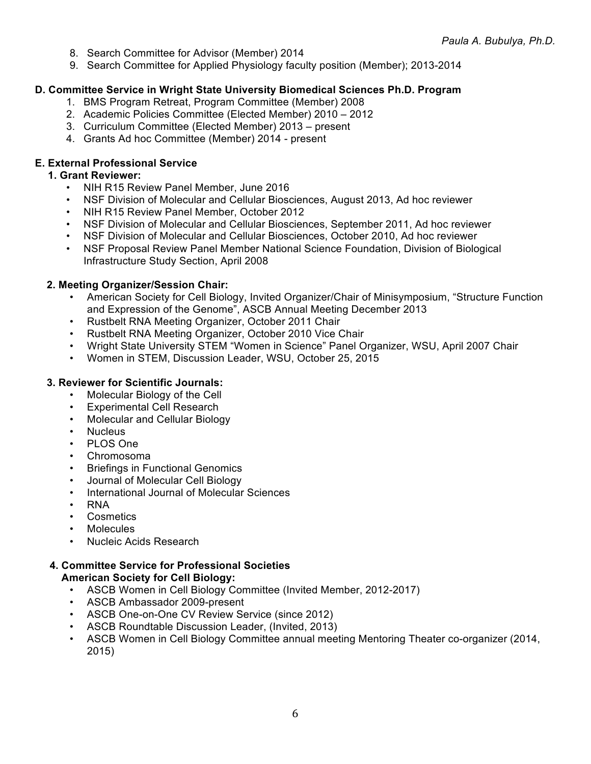- 8. Search Committee for Advisor (Member) 2014
- 9. Search Committee for Applied Physiology faculty position (Member); 2013-2014

### **D. Committee Service in Wright State University Biomedical Sciences Ph.D. Program**

- 1. BMS Program Retreat, Program Committee (Member) 2008
- 2. Academic Policies Committee (Elected Member) 2010 2012
- 3. Curriculum Committee (Elected Member) 2013 present
- 4. Grants Ad hoc Committee (Member) 2014 present

### **E. External Professional Service**

#### **1. Grant Reviewer:**

- NIH R15 Review Panel Member, June 2016
- NSF Division of Molecular and Cellular Biosciences, August 2013, Ad hoc reviewer
- NIH R15 Review Panel Member, October 2012
- NSF Division of Molecular and Cellular Biosciences, September 2011, Ad hoc reviewer
- NSF Division of Molecular and Cellular Biosciences, October 2010, Ad hoc reviewer
- NSF Proposal Review Panel Member National Science Foundation, Division of Biological Infrastructure Study Section, April 2008

#### **2. Meeting Organizer/Session Chair:**

- American Society for Cell Biology, Invited Organizer/Chair of Minisymposium, "Structure Function and Expression of the Genome", ASCB Annual Meeting December 2013
- Rustbelt RNA Meeting Organizer, October 2011 Chair
- Rustbelt RNA Meeting Organizer, October 2010 Vice Chair
- Wright State University STEM "Women in Science" Panel Organizer, WSU, April 2007 Chair
- Women in STEM, Discussion Leader, WSU, October 25, 2015

#### **3. Reviewer for Scientific Journals:**

- Molecular Biology of the Cell
- Experimental Cell Research
- Molecular and Cellular Biology
- Nucleus
- PLOS One
- Chromosoma
- **Briefings in Functional Genomics**
- Journal of Molecular Cell Biology
- International Journal of Molecular Sciences
- RNA
- Cosmetics
- **Molecules**
- Nucleic Acids Research

### **4. Committee Service for Professional Societies American Society for Cell Biology:**

- ASCB Women in Cell Biology Committee (Invited Member, 2012-2017)
- ASCB Ambassador 2009-present
- ASCB One-on-One CV Review Service (since 2012)
- ASCB Roundtable Discussion Leader, (Invited, 2013)
- ASCB Women in Cell Biology Committee annual meeting Mentoring Theater co-organizer (2014, 2015)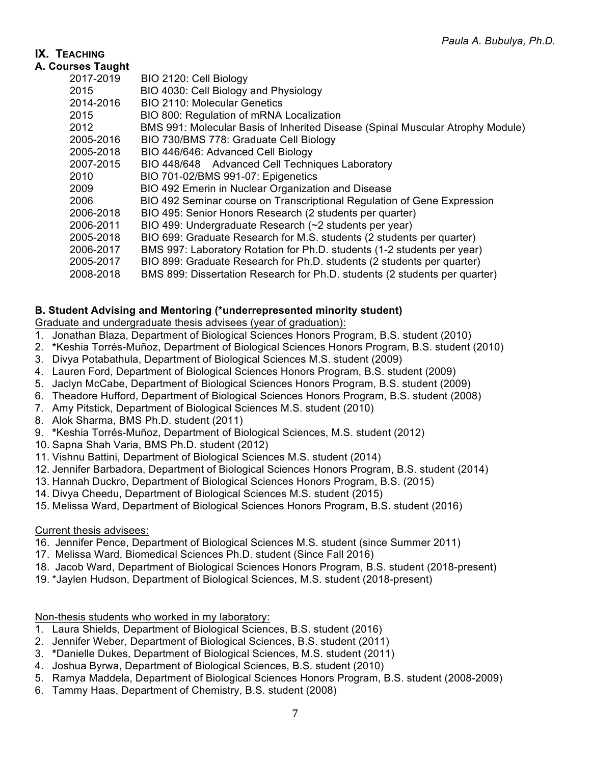# **IX. TEACHING**

|  | A. Courses Taught |  |
|--|-------------------|--|
|--|-------------------|--|

| ises raugiit |                                                                                |
|--------------|--------------------------------------------------------------------------------|
| 2017-2019    | BIO 2120: Cell Biology                                                         |
| 2015         | BIO 4030: Cell Biology and Physiology                                          |
| 2014-2016    | <b>BIO 2110: Molecular Genetics</b>                                            |
| 2015         | BIO 800: Regulation of mRNA Localization                                       |
| 2012         | BMS 991: Molecular Basis of Inherited Disease (Spinal Muscular Atrophy Module) |
| 2005-2016    | BIO 730/BMS 778: Graduate Cell Biology                                         |
| 2005-2018    | BIO 446/646: Advanced Cell Biology                                             |
| 2007-2015    | BIO 448/648 Advanced Cell Techniques Laboratory                                |
| 2010         | BIO 701-02/BMS 991-07: Epigenetics                                             |
| 2009         | BIO 492 Emerin in Nuclear Organization and Disease                             |
| 2006         | BIO 492 Seminar course on Transcriptional Regulation of Gene Expression        |
| 2006-2018    | BIO 495: Senior Honors Research (2 students per quarter)                       |
| 2006-2011    | BIO 499: Undergraduate Research (~2 students per year)                         |
| 2005-2018    | BIO 699: Graduate Research for M.S. students (2 students per quarter)          |
| 2006-2017    | BMS 997: Laboratory Rotation for Ph.D. students (1-2 students per year)        |
| 2005-2017    | BIO 899: Graduate Research for Ph.D. students (2 students per quarter)         |
| 2008-2018    | BMS 899: Dissertation Research for Ph.D. students (2 students per quarter)     |
|              |                                                                                |

## **B. Student Advising and Mentoring (\*underrepresented minority student)**

Graduate and undergraduate thesis advisees (year of graduation):

- 1. Jonathan Blaza, Department of Biological Sciences Honors Program, B.S. student (2010)
- 2. **\***Keshia Torrés-Muñoz, Department of Biological Sciences Honors Program, B.S. student (2010)
- 3. Divya Potabathula, Department of Biological Sciences M.S. student (2009)
- 4. Lauren Ford, Department of Biological Sciences Honors Program, B.S. student (2009)
- 5. Jaclyn McCabe, Department of Biological Sciences Honors Program, B.S. student (2009)
- 6. Theadore Hufford, Department of Biological Sciences Honors Program, B.S. student (2008)
- 7. Amy Pitstick, Department of Biological Sciences M.S. student (2010)
- 8. Alok Sharma, BMS Ph.D. student (2011)
- 9. **\***Keshia Torrés-Muñoz, Department of Biological Sciences, M.S. student (2012)
- 10. Sapna Shah Varia, BMS Ph.D. student (2012)
- 11. Vishnu Battini, Department of Biological Sciences M.S. student (2014)
- 12. Jennifer Barbadora, Department of Biological Sciences Honors Program, B.S. student (2014)
- 13. Hannah Duckro, Department of Biological Sciences Honors Program, B.S. (2015)
- 14. Divya Cheedu, Department of Biological Sciences M.S. student (2015)
- 15. Melissa Ward, Department of Biological Sciences Honors Program, B.S. student (2016)

## Current thesis advisees:

- 16. Jennifer Pence, Department of Biological Sciences M.S. student (since Summer 2011)
- 17. Melissa Ward, Biomedical Sciences Ph.D. student (Since Fall 2016)
- 18. Jacob Ward, Department of Biological Sciences Honors Program, B.S. student (2018-present)
- 19. \*Jaylen Hudson, Department of Biological Sciences, M.S. student (2018-present)

Non-thesis students who worked in my laboratory:

- 1. Laura Shields, Department of Biological Sciences, B.S. student (2016)
- 2. Jennifer Weber, Department of Biological Sciences, B.S. student (2011)
- 3. **\***Danielle Dukes, Department of Biological Sciences, M.S. student (2011)
- 4. Joshua Byrwa, Department of Biological Sciences, B.S. student (2010)
- 5. Ramya Maddela, Department of Biological Sciences Honors Program, B.S. student (2008-2009)
- 6. Tammy Haas, Department of Chemistry, B.S. student (2008)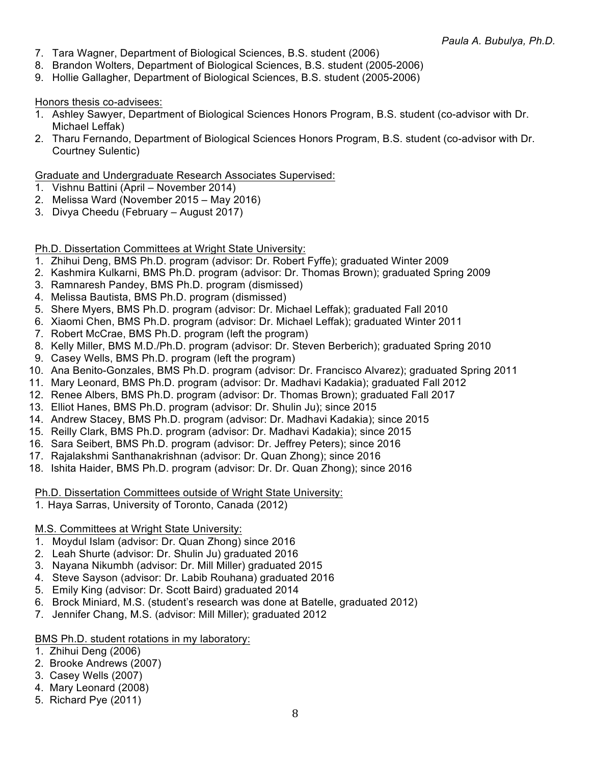- 7. Tara Wagner, Department of Biological Sciences, B.S. student (2006)
- 8. Brandon Wolters, Department of Biological Sciences, B.S. student (2005-2006)
- 9. Hollie Gallagher, Department of Biological Sciences, B.S. student (2005-2006)

#### Honors thesis co-advisees:

- 1. Ashley Sawyer, Department of Biological Sciences Honors Program, B.S. student (co-advisor with Dr. Michael Leffak)
- 2. Tharu Fernando, Department of Biological Sciences Honors Program, B.S. student (co-advisor with Dr. Courtney Sulentic)

#### Graduate and Undergraduate Research Associates Supervised:

- 1. Vishnu Battini (April November 2014)
- 2. Melissa Ward (November 2015 May 2016)
- 3. Divya Cheedu (February August 2017)

### Ph.D. Dissertation Committees at Wright State University:

- 1. Zhihui Deng, BMS Ph.D. program (advisor: Dr. Robert Fyffe); graduated Winter 2009
- 2. Kashmira Kulkarni, BMS Ph.D. program (advisor: Dr. Thomas Brown); graduated Spring 2009
- 3. Ramnaresh Pandey, BMS Ph.D. program (dismissed)
- 4. Melissa Bautista, BMS Ph.D. program (dismissed)
- 5. Shere Myers, BMS Ph.D. program (advisor: Dr. Michael Leffak); graduated Fall 2010
- 6. Xiaomi Chen, BMS Ph.D. program (advisor: Dr. Michael Leffak); graduated Winter 2011
- 7. Robert McCrae, BMS Ph.D. program (left the program)
- 8. Kelly Miller, BMS M.D./Ph.D. program (advisor: Dr. Steven Berberich); graduated Spring 2010
- 9. Casey Wells, BMS Ph.D. program (left the program)
- 10. Ana Benito-Gonzales, BMS Ph.D. program (advisor: Dr. Francisco Alvarez); graduated Spring 2011
- 11. Mary Leonard, BMS Ph.D. program (advisor: Dr. Madhavi Kadakia); graduated Fall 2012
- 12. Renee Albers, BMS Ph.D. program (advisor: Dr. Thomas Brown); graduated Fall 2017
- 13. Elliot Hanes, BMS Ph.D. program (advisor: Dr. Shulin Ju); since 2015
- 14. Andrew Stacey, BMS Ph.D. program (advisor: Dr. Madhavi Kadakia); since 2015
- 15. Reilly Clark, BMS Ph.D. program (advisor: Dr. Madhavi Kadakia); since 2015
- 16. Sara Seibert, BMS Ph.D. program (advisor: Dr. Jeffrey Peters); since 2016
- 17. Rajalakshmi Santhanakrishnan (advisor: Dr. Quan Zhong); since 2016
- 18. Ishita Haider, BMS Ph.D. program (advisor: Dr. Dr. Quan Zhong); since 2016

### Ph.D. Dissertation Committees outside of Wright State University:

1. Haya Sarras, University of Toronto, Canada (2012)

### M.S. Committees at Wright State University:

- 1. Moydul Islam (advisor: Dr. Quan Zhong) since 2016
- 2. Leah Shurte (advisor: Dr. Shulin Ju) graduated 2016
- 3. Nayana Nikumbh (advisor: Dr. Mill Miller) graduated 2015
- 4. Steve Sayson (advisor: Dr. Labib Rouhana) graduated 2016
- 5. Emily King (advisor: Dr. Scott Baird) graduated 2014
- 6. Brock Miniard, M.S. (student's research was done at Batelle, graduated 2012)
- 7. Jennifer Chang, M.S. (advisor: Mill Miller); graduated 2012

### BMS Ph.D. student rotations in my laboratory:

- 1. Zhihui Deng (2006)
- 2. Brooke Andrews (2007)
- 3. Casey Wells (2007)
- 4. Mary Leonard (2008)
- 5. Richard Pye (2011)